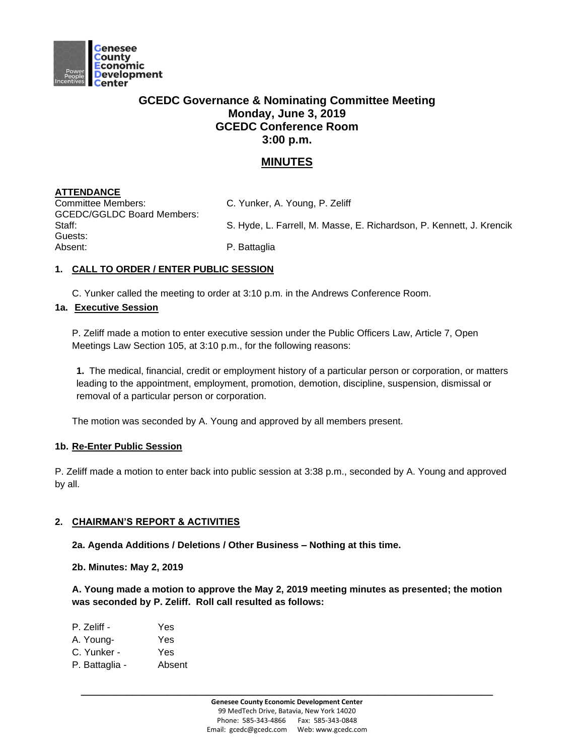

# **GCEDC Governance & Nominating Committee Meeting Monday, June 3, 2019 GCEDC Conference Room 3:00 p.m.**

# **MINUTES**

# **ATTENDANCE**

Committee Members: C. Yunker, A. Young, P. Zeliff GCEDC/GGLDC Board Members: Guests: Absent: P. Battaglia

Staff: Staff: S. Hyde, L. Farrell, M. Masse, E. Richardson, P. Kennett, J. Krencik

## **1. CALL TO ORDER / ENTER PUBLIC SESSION**

C. Yunker called the meeting to order at 3:10 p.m. in the Andrews Conference Room.

## **1a. Executive Session**

P. Zeliff made a motion to enter executive session under the Public Officers Law, Article 7, Open Meetings Law Section 105, at 3:10 p.m., for the following reasons:

**1.** The medical, financial, credit or employment history of a particular person or corporation, or matters leading to the appointment, employment, promotion, demotion, discipline, suspension, dismissal or removal of a particular person or corporation.

The motion was seconded by A. Young and approved by all members present.

### **1b. Re-Enter Public Session**

P. Zeliff made a motion to enter back into public session at 3:38 p.m., seconded by A. Young and approved by all.

### **2. CHAIRMAN'S REPORT & ACTIVITIES**

**2a. Agenda Additions / Deletions / Other Business – Nothing at this time.**

**2b. Minutes: May 2, 2019**

**A. Young made a motion to approve the May 2, 2019 meeting minutes as presented; the motion was seconded by P. Zeliff. Roll call resulted as follows:**

| P. Zeliff - | Yes |
|-------------|-----|
| A. Young-   | Yes |
| C. Yunker - | Yes |

P. Battaglia - Absent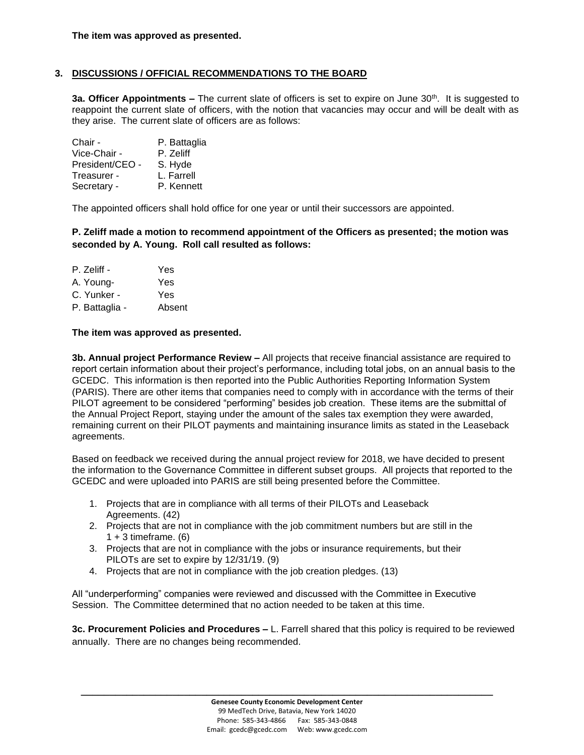### **3. DISCUSSIONS / OFFICIAL RECOMMENDATIONS TO THE BOARD**

**3a. Officer Appointments -** The current slate of officers is set to expire on June 30<sup>th</sup>. It is suggested to reappoint the current slate of officers, with the notion that vacancies may occur and will be dealt with as they arise. The current slate of officers are as follows:

| Chair -         | P. Battaglia |
|-----------------|--------------|
| Vice-Chair -    | P. Zeliff    |
| President/CEO - | S. Hyde      |
| Treasurer -     | L. Farrell   |
| Secretary -     | P. Kennett   |

The appointed officers shall hold office for one year or until their successors are appointed.

**P. Zeliff made a motion to recommend appointment of the Officers as presented; the motion was seconded by A. Young. Roll call resulted as follows:**

P. Zeliff - Yes A. Young- Yes C. Yunker - Yes P. Battaglia - Absent

#### **The item was approved as presented.**

**3b. Annual project Performance Review –** All projects that receive financial assistance are required to report certain information about their project's performance, including total jobs, on an annual basis to the GCEDC. This information is then reported into the Public Authorities Reporting Information System (PARIS). There are other items that companies need to comply with in accordance with the terms of their PILOT agreement to be considered "performing" besides job creation. These items are the submittal of the Annual Project Report, staying under the amount of the sales tax exemption they were awarded, remaining current on their PILOT payments and maintaining insurance limits as stated in the Leaseback agreements.

Based on feedback we received during the annual project review for 2018, we have decided to present the information to the Governance Committee in different subset groups. All projects that reported to the GCEDC and were uploaded into PARIS are still being presented before the Committee.

- 1. Projects that are in compliance with all terms of their PILOTs and Leaseback Agreements. (42)
- 2. Projects that are not in compliance with the job commitment numbers but are still in the  $1 + 3$  timeframe. (6)
- 3. Projects that are not in compliance with the jobs or insurance requirements, but their PILOTs are set to expire by 12/31/19. (9)
- 4. Projects that are not in compliance with the job creation pledges. (13)

All "underperforming" companies were reviewed and discussed with the Committee in Executive Session. The Committee determined that no action needed to be taken at this time.

**3c. Procurement Policies and Procedures –** L. Farrell shared that this policy is required to be reviewed annually. There are no changes being recommended.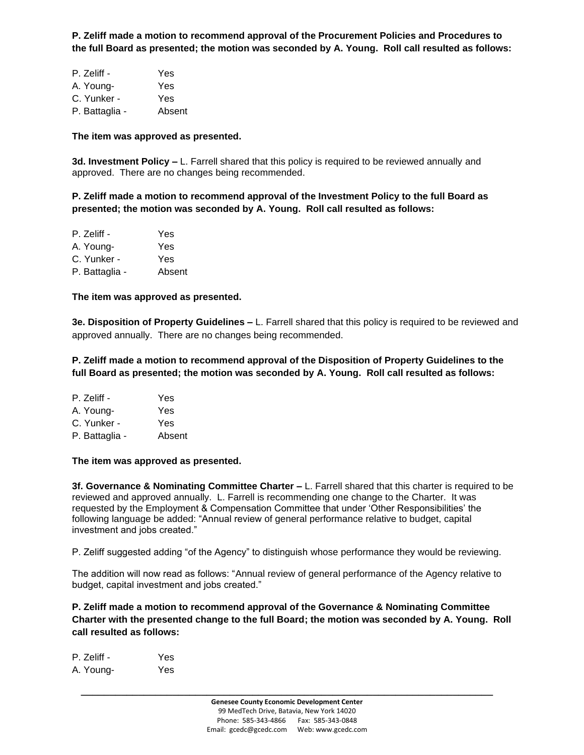**P. Zeliff made a motion to recommend approval of the Procurement Policies and Procedures to the full Board as presented; the motion was seconded by A. Young. Roll call resulted as follows:**

| P. Zeliff -    | Yes    |
|----------------|--------|
| A. Young-      | Yes    |
| C. Yunker -    | Yes    |
| P. Battaglia - | Absent |

#### **The item was approved as presented.**

**3d. Investment Policy –** L. Farrell shared that this policy is required to be reviewed annually and approved. There are no changes being recommended.

**P. Zeliff made a motion to recommend approval of the Investment Policy to the full Board as presented; the motion was seconded by A. Young. Roll call resulted as follows:**

| Yes    |
|--------|
| Yes    |
| Yes    |
| Absent |
|        |

**The item was approved as presented.** 

**3e. Disposition of Property Guidelines –** L. Farrell shared that this policy is required to be reviewed and approved annually. There are no changes being recommended.

**P. Zeliff made a motion to recommend approval of the Disposition of Property Guidelines to the full Board as presented; the motion was seconded by A. Young. Roll call resulted as follows:**

| P. Zeliff -    | Yes    |
|----------------|--------|
| A. Young-      | Yes    |
| C. Yunker -    | Yes    |
| P. Battaglia - | Absent |
|                |        |

**The item was approved as presented.** 

**3f. Governance & Nominating Committee Charter –** L. Farrell shared that this charter is required to be reviewed and approved annually. L. Farrell is recommending one change to the Charter. It was requested by the Employment & Compensation Committee that under 'Other Responsibilities' the following language be added: "Annual review of general performance relative to budget, capital investment and jobs created."

P. Zeliff suggested adding "of the Agency" to distinguish whose performance they would be reviewing.

The addition will now read as follows: "Annual review of general performance of the Agency relative to budget, capital investment and jobs created."

**P. Zeliff made a motion to recommend approval of the Governance & Nominating Committee Charter with the presented change to the full Board; the motion was seconded by A. Young. Roll call resulted as follows:**

| P. Zeliff - | Yes |
|-------------|-----|
| A. Young-   | Yes |